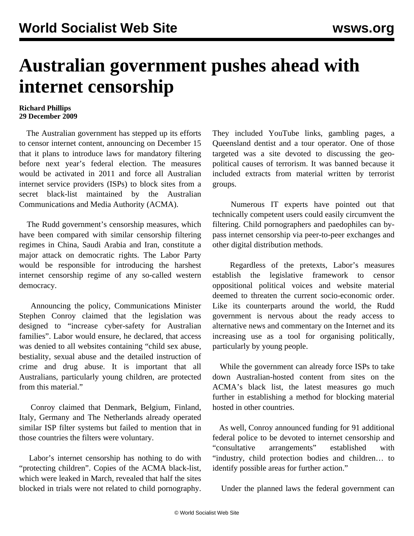## **Australian government pushes ahead with internet censorship**

## **Richard Phillips 29 December 2009**

 The Australian government has stepped up its efforts to censor internet content, announcing on December 15 that it plans to introduce laws for mandatory filtering before next year's federal election. The measures would be activated in 2011 and force all Australian internet service providers (ISPs) to block sites from a secret black-list maintained by the Australian Communications and Media Authority (ACMA).

 The Rudd government's censorship measures, which have been compared with similar censorship filtering regimes in China, Saudi Arabia and Iran, constitute a major attack on democratic rights. The Labor Party would be responsible for introducing the harshest internet censorship regime of any so-called western democracy.

 Announcing the policy, Communications Minister Stephen Conroy claimed that the legislation was designed to "increase cyber-safety for Australian families". Labor would ensure, he declared, that access was denied to all websites containing "child sex abuse, bestiality, sexual abuse and the detailed instruction of crime and drug abuse. It is important that all Australians, particularly young children, are protected from this material."

 Conroy claimed that Denmark, Belgium, Finland, Italy, Germany and The Netherlands already operated similar ISP filter systems but failed to mention that in those countries the filters were voluntary.

 Labor's internet censorship has nothing to do with "protecting children". Copies of the ACMA black-list, which were leaked in March, revealed that half the sites blocked in trials were not related to child pornography.

They included YouTube links, gambling pages, a Queensland dentist and a tour operator. One of those targeted was a site devoted to discussing the geopolitical causes of terrorism. It was banned because it included extracts from material written by terrorist groups.

 Numerous IT experts have pointed out that technically competent users could easily circumvent the filtering. Child pornographers and paedophiles can bypass internet censorship via peer-to-peer exchanges and other digital distribution methods.

 Regardless of the pretexts, Labor's measures establish the legislative framework to censor oppositional political voices and website material deemed to threaten the current socio-economic order. Like its counterparts around the world, the Rudd government is nervous about the ready access to alternative news and commentary on the Internet and its increasing use as a tool for organising politically, particularly by young people.

 While the government can already force ISPs to take down Australian-hosted content from sites on the ACMA's black list, the latest measures go much further in establishing a method for blocking material hosted in other countries.

 As well, Conroy announced funding for 91 additional federal police to be devoted to internet censorship and "consultative arrangements" established with "industry, child protection bodies and children… to identify possible areas for further action."

Under the planned laws the federal government can